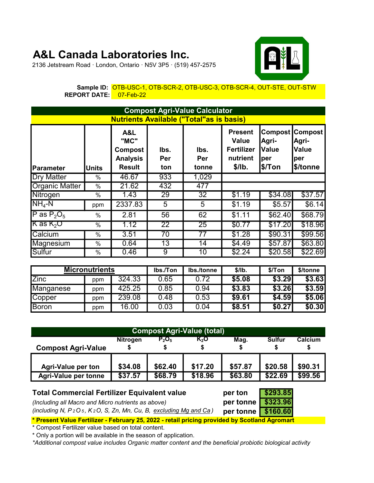## A&L Canada Laboratories Inc.



2136 Jetstream Road · London, Ontario · N5V 3P5 · (519) 457-2575

Sample ID: <mark>OTB-USC-1, OTB-SCR-2, OTB-USC-3, OTB-SCR-4, OUT-STE, OUT-STW</mark> REPORT DATE: 07-Feb-22

| <b>Compost Agri-Value Calculator</b>            |                          |                                                                   |                    |                      |                                                                           |                                                   |                                                            |  |  |  |
|-------------------------------------------------|--------------------------|-------------------------------------------------------------------|--------------------|----------------------|---------------------------------------------------------------------------|---------------------------------------------------|------------------------------------------------------------|--|--|--|
| <b>Nutrients Available ("Total"as is basis)</b> |                          |                                                                   |                    |                      |                                                                           |                                                   |                                                            |  |  |  |
| <b>Parameter</b>                                | <b>Units</b>             | A&L<br>"MC"<br><b>Compost</b><br><b>Analysis</b><br><b>Result</b> | lbs.<br>Per<br>ton | lbs.<br>Per<br>tonne | <b>Present</b><br><b>Value</b><br><b>Fertilizer</b><br>nutrient<br>\$/lb. | Compost<br>Agri-<br><b>Value</b><br>per<br>\$/Ton | <b>Compost</b><br>Agri-<br><b>Value</b><br>per<br>\$/tonne |  |  |  |
| <b>Dry Matter</b>                               | %                        | 46.67                                                             | 933                | 1,029                |                                                                           |                                                   |                                                            |  |  |  |
| <b>Organic Matter</b>                           | %                        | 21.62                                                             | 432                | 477                  |                                                                           |                                                   |                                                            |  |  |  |
| Nitrogen                                        | $\%$                     | 1.43                                                              | 29                 | 32                   | \$1.19                                                                    | \$34.08                                           | \$37.57                                                    |  |  |  |
| $NH4-N$                                         | ppm                      | 2337.83                                                           | 5                  | 5                    | \$1.19                                                                    | \$5.57                                            | \$6.14                                                     |  |  |  |
| P as $P_2O_5$                                   | $\%$                     | 2.81                                                              | 56                 | 62                   | \$1.11                                                                    | \$62.40                                           | \$68.79                                                    |  |  |  |
| $K$ as $K_2O$                                   | $\overline{\frac{9}{6}}$ | 1.12                                                              | 22                 | 25                   | \$0.77                                                                    | \$17.20                                           | \$18.96                                                    |  |  |  |
| Calcium                                         | %                        | 3.51                                                              | $\overline{70}$    | $\overline{77}$      | \$1.28                                                                    | \$90.31                                           | \$99.56                                                    |  |  |  |
| Magnesium                                       | %                        | 0.64                                                              | 13                 | 14                   | \$4.49                                                                    | \$57.87                                           | \$63.80                                                    |  |  |  |
| Sulfur                                          | %                        | 0.46                                                              | 9                  | 10                   | \$2.24                                                                    | \$20.58                                           | \$22.69                                                    |  |  |  |

| <b>Micronutrients</b> |     |        | lbs./Ton | lbs./tonne | \$/lb. | \$/Ton | \$/tonne |
|-----------------------|-----|--------|----------|------------|--------|--------|----------|
| <b>Zinc</b>           | ppm | 324.33 | 0.65     | 0.72       | \$5.08 | \$3.29 | \$3.63   |
| Manganese             | ppm | 425.25 | 0.85     | 0.94       | \$3.83 | \$3.26 | \$3.59   |
| Copper                | ppm | 239.08 | 0.48     | 0.53       | \$9.61 | \$4.59 | \$5.06   |
| <b>Boron</b>          | ppm | 16.00  | 0.03     | 0.04       | \$8.51 | \$0.27 | \$0.30   |

| <b>Compost Agri-Value (total)</b>                                                                                                                         |                    |                    |                    |                    |                     |               |  |  |  |
|-----------------------------------------------------------------------------------------------------------------------------------------------------------|--------------------|--------------------|--------------------|--------------------|---------------------|---------------|--|--|--|
| <b>Compost Agri-Value</b>                                                                                                                                 | <b>Nitrogen</b>    | $P_2O_5$<br>\$     | K,O                | Mag.               | <b>Sulfur</b><br>\$ | Calcium<br>\$ |  |  |  |
| <b>Agri-Value per ton</b><br><b>Agri-Value per tonne</b>                                                                                                  | \$34.08<br>\$37.57 | \$17.20<br>\$18.96 | \$57.87<br>\$63.80 | \$20.58<br>\$22.69 | \$90.31<br>\$99.56  |               |  |  |  |
| \$293.85<br><b>Total Commercial Fertilizer Equivalent value</b><br>per ton<br>\$323.96<br>per tonne<br>(Including all Macro and Micro nutrients as above) |                    |                    |                    |                    |                     |               |  |  |  |

(including N, P<sub>2</sub>O<sub>5</sub>, K<sub>2</sub>O, S, Zn, Mn, Cu, B, excluding Mg and Ca) per tonne  $\sqrt{$160.60}$ \* Present Value Fertilizer - February 25, 2022 - retail pricing provided by Scotland Agromart

\* Compost Fertilizer value based on total content.

\* Only a portion will be available in the season of application.

\*Additional compost value includes Organic matter content and the beneficial probiotic biological activity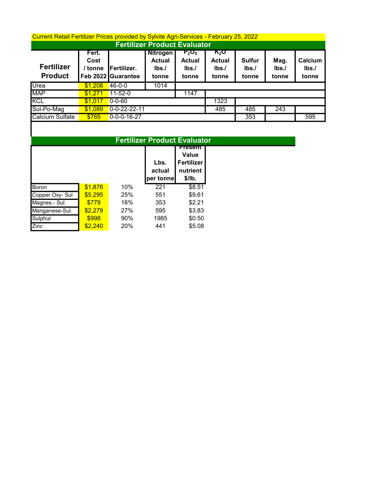## Current Retail Fertilizer Prices provided by Sylvite Agri-Services - February 25, 2022

| <b>Fertilizer Product Evaluator</b> |                          |                                   |                                                   |                                            |                                                            |                                |                       |                          |  |  |
|-------------------------------------|--------------------------|-----------------------------------|---------------------------------------------------|--------------------------------------------|------------------------------------------------------------|--------------------------------|-----------------------|--------------------------|--|--|
| <b>Fertilizer</b><br><b>Product</b> | Fert.<br>Cost<br>/ tonne | Fertilizer.<br>Feb 2022 Guarantee | <b>Nitrogen</b><br><b>Actual</b><br>Ibs.<br>tonne | $P_2O_5$<br><b>Actual</b><br>Ibs.<br>tonne | $\mathbf{K}_2\mathbf{O}$<br><b>Actual</b><br>Ibs.<br>tonne | <b>Sulfur</b><br>Ibs.<br>tonne | Mag.<br>Ibs.<br>tonne | Calcium<br>Ibs.<br>tonne |  |  |
| Urea                                | \$1,208                  | $46 - 0 - 0$                      | 1014                                              |                                            |                                                            |                                |                       |                          |  |  |
| <b>MAP</b>                          | \$1.271                  | $11 - 52 - 0$                     |                                                   | 1147                                       |                                                            |                                |                       |                          |  |  |
| <b>KCL</b>                          | \$1.017                  | $0 - 0 - 60$                      |                                                   |                                            | 1323                                                       |                                |                       |                          |  |  |
| Sul-Po-Mag                          | \$1.089                  | $0 - 0 - 22 - 22 - 11$            |                                                   |                                            | 485                                                        | 485                            | 243                   |                          |  |  |
| Calcium Sulfate                     | \$765                    | $0 - 0 - 0 - 16 - 27$             |                                                   |                                            |                                                            | 353                            |                       | 595                      |  |  |

|                 |         | <b>Fertilizer Product Evaluator</b> |                |                            |  |  |  |  |
|-----------------|---------|-------------------------------------|----------------|----------------------------|--|--|--|--|
|                 |         |                                     | <b>Present</b> |                            |  |  |  |  |
|                 |         |                                     | Lbs.           | Value<br><b>Fertilizer</b> |  |  |  |  |
|                 |         |                                     | actual         | nutrient                   |  |  |  |  |
|                 |         |                                     | per tonnel     | \$/lb.                     |  |  |  |  |
| Boron           | \$1,876 | 10%                                 | 221            | \$8.51                     |  |  |  |  |
| Copper Oxy- Sul | \$5,295 | 25%                                 | 551            | \$9.61                     |  |  |  |  |
| Magnes.- Sul.   | \$779   | 16%                                 | 353            | \$2.21                     |  |  |  |  |
| Manganese-Sul.  | \$2,279 | 27%                                 | 595            | \$3.83                     |  |  |  |  |
| Sulphur         | \$998   | 90%                                 | 1985           | \$0.50                     |  |  |  |  |
| Zinc            | \$2,240 | 20%                                 | 441            | \$5.08                     |  |  |  |  |